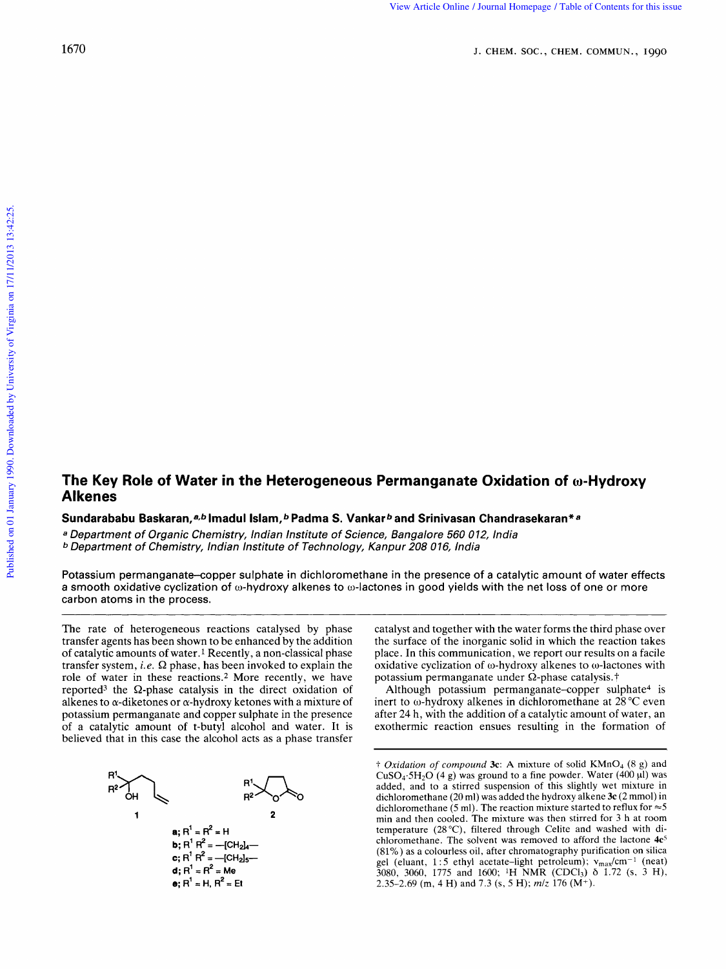## **The Key Role of Water in the Heterogeneous Permanganate Oxidation of o-Hydroxy Al kenes The Key Role of Water in the Heterogeneous Permanganate Oxidation of ω-Hydroxy<br>Alkenes<br>Sundarababu Baskaran,ª<sup>,</sup> Imadul Islam,ªPadma S. Vankarª and Srinivasan Chandrasekaran\*ª<br>ª Department of Organic Chemistry, Indian In ate Oxidation of ω-Hydroxy**<br>
san Chandrasekaran\*a<br>60 012, India<br>
India

 $\boldsymbol{\mathsf{S}}$ undarababu Baskaran, ${}^{a,b}$ Imadul Islam, ${}^{b}$  Padma S. Vankar ${}^{b}$  and Srinivasan Chandrasekaran\*a

<sup>a</sup> Department of Organic Chemistry, Indian Institute of Science, Bangalore 560 012, Department of Chemistry, Indian Institute of Technology, Kanpur 208 016,

Potassium permanganate-copper sulphate in dichloromethane in the presence of a catalytic amount of water effects a smooth oxidative cyclization of o-hydroxy alkenes to o-lactones in good yields with the net **loss** of one or more carbon atoms in the process.

The rate of heterogeneous reactions catalysed by phase transfer agents has been shown to be enhanced by the addition of catalytic amounts of water.<sup>1</sup> Recently, a non-classical phase transfer system, *i.e.*  $\Omega$  phase, has been invoked to explain the a smooth oxidative cyclization of ω-hydroxy alkenes to ω-lactones in good yields with the net loss of one or more<br>
carbon atoms in the process.<br>
The rate of heterogeneous reactions catalysed by phase catalyst and together role of water in these reactions.2 More recently, we have reported<sup>3</sup> the  $\Omega$ -phase catalysis in the direct oxidation of alkenes to  $\alpha$ -diketones or  $\alpha$ -hydroxy ketones with a mixture of potassium permanganate and copper sulphate in the presence of a catalytic amount of t-butyl alcohol and water. It is believed that in this case the alcohol acts as a phase transfer



catalyst and together with the water forms the third phase over the surface of the inorganic solid in which the reaction takes place. In this communication, we report our results on a facile oxidative cyclization of  $\omega$ -hydroxy alkenes to  $\omega$ -lactones with potassium permanganate under Q-phase catalysis. **t** 

Although potassium permanganate-copper sulphate<sup>4</sup> is inert to o-hydroxy alkenes in dichloromethane at 28 **"C** even after 24 h, with the addition of a catalytic amount of water, an exothermic reaction ensues resulting in the formation of

**a**;  $R^1 = R^2 = H$ <br> **a i m i e i e i i i c i c i c i c i c i c i c i c i c i c i c i c i c i c i c i c i c i c i c i c i c** *zymuthing figures in the formation* of  $\overline{O}$ <br>*† Oxidation of compound 3c:* A mixture of solid KMnO<sub>4</sub> (8 g) and CuSO<sub>4</sub>.5H<sub>2</sub>O (4 g) was ground to a fine powder. Water (400 µl) was  $CuSO<sub>4</sub>·5H<sub>2</sub>O$  (4 g) was ground to a fine powder. Water (400  $\mu$ I) was added, and to a stirred suspension of this slightly wet mixture in dichloromethane (20 ml) was added the hydroxy alkene **3c** (2 mmol) in dichloromethane  $(5 \text{ ml})$ . The reaction mixture started to reflux for  $\approx 5$ min and then cooled. The mixture was then stirred for 3 h at room temperature (28 "C), filtered through Celite and washed with dichloromethane. The solvent was removed to afford the lactone  $4e^5$ (81%) as a colourless oil, after chromatography purification on silica gel (eluant, 1:5 ethyl acetate-light petroleum);  $v_{\text{max}}/cm^{-1}$  (neat) 3080, 3060, 1775 and 1600; <sup>1</sup>H NMR (CDCl<sub>3</sub>)  $\delta$  1.72 (s, 3 H), 2.35-2.69 (m, **4** H) and 7.3 **(s,** *5* H); *mlz* 176 (M+).